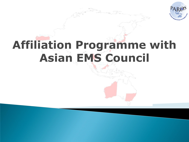

# **Affiliation Programme with Asian EMS Council**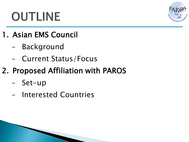# **OUTLINE**



- 1. Asian EMS Council
	- **Background**
	- Current Status/Focus
- 2. Proposed Affiliation with PAROS
	- Set-up
	- Interested Countries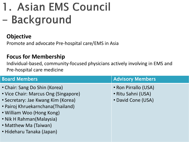## 1. Asian EMS Council - Background

#### **Objective**

Promote and advocate Pre-hospital care/EMS in Asia

#### **Focus for Membership**

Individual-based, community-focused physicians actively involving in EMS and Pre-hospital care medicine

| <b>Board Members</b>                                                                                                                                                                                                                                            | <b>Advisory Members</b>                                          |
|-----------------------------------------------------------------------------------------------------------------------------------------------------------------------------------------------------------------------------------------------------------------|------------------------------------------------------------------|
| • Chair: Sang Do Shin (Korea)<br>• Vice Chair: Marcus Ong (Singapore)<br>• Secretary: Jae Kwang Kim (Korea)<br>• Pairoj Khruekarnchana(Thailand)<br>• William Woo (Hong Kong)<br>• Nik H Rahman(Malaysia)<br>• Matthew Ma (Taiwan)<br>• Hideharu Tanaka (Japan) | • Ron Pirrallo (USA)<br>• Ritu Sahni (USA)<br>• David Cone (USA) |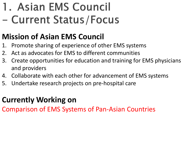## 1. Asian EMS Council - Current Status/Focus

### **Mission of Asian EMS Council**

- 1. Promote sharing of experience of other EMS systems
- 2. Act as advocates for EMS to different communities
- 3. Create opportunities for education and training for EMS physicians and providers
- 4. Collaborate with each other for advancement of EMS systems
- 5. Undertake research projects on pre-hospital care

### **Currently Working on**

Comparison of EMS Systems of Pan-Asian Countries